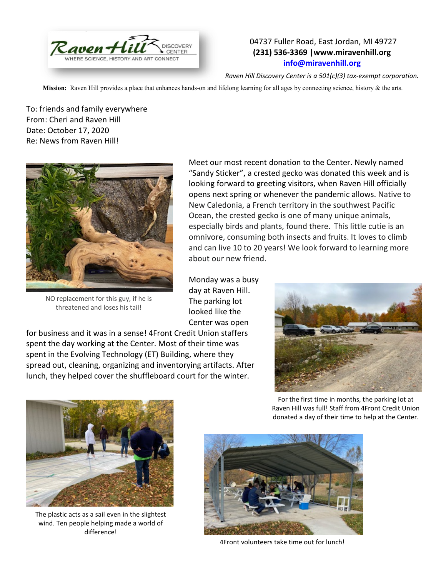

## 04737 Fuller Road, East Jordan, MI 49727 **(231) 536-3369 |www.miravenhill.org [info@miravenhill.org](mailto:info@miravenhill.org)**

*Raven Hill Discovery Center is a 501(c)(3) tax-exempt corporation.*

**Mission:** Raven Hill provides a place that enhances hands-on and lifelong learning for all ages by connecting science, history & the arts.

To: friends and family everywhere From: Cheri and Raven Hill Date: October 17, 2020 Re: News from Raven Hill!



NO replacement for this guy, if he is threatened and loses his tail!

Meet our most recent donation to the Center. Newly named "Sandy Sticker", a crested gecko was donated this week and is looking forward to greeting visitors, when Raven Hill officially opens next spring or whenever the pandemic allows. Native to New Caledonia, a French territory in the southwest Pacific Ocean, the crested gecko is one of many unique animals, especially birds and plants, found there. This little cutie is an omnivore, consuming both insects and fruits. It loves to climb and can live 10 to 20 years! We look forward to learning more about our new friend.

Monday was a busy day at Raven Hill. The parking lot looked like the Center was open

for business and it was in a sense! 4Front Credit Union staffers spent the day working at the Center. Most of their time was spent in the Evolving Technology (ET) Building, where they spread out, cleaning, organizing and inventorying artifacts. After lunch, they helped cover the shuffleboard court for the winter.





The plastic acts as a sail even in the slightest wind. Ten people helping made a world of difference!

For the first time in months, the parking lot at Raven Hill was full! Staff from 4Front Credit Union donated a day of their time to help at the Center.



4Front volunteers take time out for lunch!